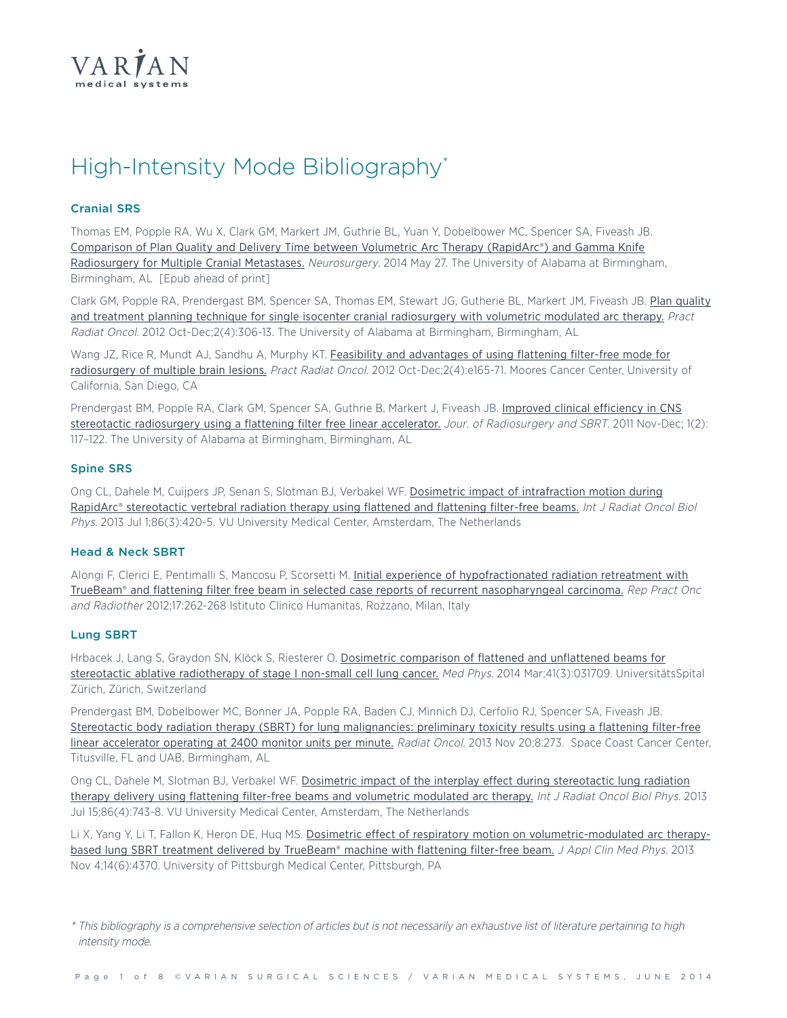

# High-Intensity Mode Bibliography\*

### **Cranial SRS**

Thomas EM, Popple RA, Wu X, Clark GM, Markert JM, Guthrie BL, Yuan Y, Dobelbower MC, Spencer SA, Fiveash JB. [Comparison](http://www.ncbi.nlm.nih.gov/pubmed/24871143) of Plan Quality and Delivery Time between Volumetric Arc Therapy (RapidArc®) and Gamma Knife [Radiosurgery](http://www.ncbi.nlm.nih.gov/pubmed/24871143) for Multiple Cranial Metastases. Neurosurgery. 2014 May 27. The University of Alabama at Birmingham, Birmingham, AL [Epub ahead of print]

Clark GM, Popple RA, Prendergast BM, Spencer SA, Thomas EM, Stewart JG, Gutherie BL, Markert JM, Fiveash JB. Plan [quality](http://www.ncbi.nlm.nih.gov/pubmed/24674169) and treatment planning technique for single isocenter cranial [radiosurgery](http://www.ncbi.nlm.nih.gov/pubmed/24674169) with volumetric modulated arc therapy. Pract Radiat Oncol. 2012 Oct-Dec;2(4):306-13. The University of Alabama at Birmingham, Birmingham, AL

Wang JZ, Rice R, Mundt AJ, Sandhu A, Murphy KT. Feasibility and [advantages](http://www.ncbi.nlm.nih.gov/pubmed/24674180) of using flattening filter-free mode for [radiosurgery](http://www.ncbi.nlm.nih.gov/pubmed/24674180) of multiple brain lesions. Pract Radiat Oncol. 2012 Oct-Dec;2(4):e165-71. Moores Cancer Center, University of California, San Diego, CA

Prendergast BM, Popple RA, Clark GM, Spencer SA, Guthrie B, Markert J, Fiveash JB. Improved clinical [efficiency](http://oldcitypublishing.com/JRSBRT/JRSBRTabstracts/JRSBRTv1n2abstracts/JRSBRTv1n2p117-122Prendergast.html) in CNS stereotactic [radiosurgery](http://oldcitypublishing.com/JRSBRT/JRSBRTabstracts/JRSBRTv1n2abstracts/JRSBRTv1n2p117-122Prendergast.html) using a flattening filter free linear accelerator. Jour. of Radiosurgery and SBRT. 2011 Nov-Dec; 1(2): 117–122. The University of Alabama at Birmingham, Birmingham, AL

#### **Spine SRS**

Ong CL, Dahele M, Cuijpers JP, Senan S, Slotman BJ, Verbakel WF. Dosimetric impact of [intrafraction](http://www.ncbi.nlm.nih.gov/pubmed/23523183) motion during RapidArc® [stereotactic](http://www.ncbi.nlm.nih.gov/pubmed/23523183) vertebral radiation therapy using flattened and flattening filter-free beams. Int J Radiat Oncol Biol Phys. 2013 Jul 1;86(3):420-5. VU University Medical Center, Amsterdam, The Netherlands

#### **Head & Neck SBRT**

Alongi F, Clerici E, Pentimalli S, Mancosu P, Scorsetti M. Initial experience of [hypofractionated](http://www.ncbi.nlm.nih.gov/pubmed/24669306) radiation retreatment with TrueBeam® and flattening filter free beam in selected case reports of recurrent [nasopharyngeal](http://www.ncbi.nlm.nih.gov/pubmed/24669306) carcinoma. Rep Pract Onc and Radiother 2012;17:262-268 Istituto Clinico Humanitas, Rozzano, Milan, Italy

#### **Lung SBRT**

Hrbacek J, Lang S, Graydon SN, Klöck S, Riesterer O. Dosimetric [comparison](http://www.ncbi.nlm.nih.gov/pubmed/24593713) of flattened and unflattened beams for stereotactic ablative [radiotherapy](http://www.ncbi.nlm.nih.gov/pubmed/24593713) of stage I non-small cell lung cancer. Med Phys. 2014 Mar;41(3):031709. UniversitätsSpital Zürich, Zürich, Switzerland

Prendergast BM, Dobelbower MC, Bonner JA, Popple RA, Baden CJ, Minnich DJ, Cerfolio RJ, Spencer SA, Fiveash JB. Stereotactic body radiation therapy (SBRT) for lung [malignancies:](http://www.ncbi.nlm.nih.gov/pubmed/24256563) preliminary toxicity results using a flattening filter-free linear [accelerator](http://www.ncbi.nlm.nih.gov/pubmed/24256563) operating at 2400 monitor units per minute. Radiat Oncol. 2013 Nov 20;8:273. Space Coast Cancer Center, Titusville, FL and UAB, Birmingham, AL

Ong CL, Dahele M, Slotman BJ, Verbakel WF. Dosimetric impact of the interplay effect during [stereotactic](http://www.ncbi.nlm.nih.gov/pubmed/23773394) lung radiation therapy delivery using flattening filter-free beams and volumetric [modulated](http://www.ncbi.nlm.nih.gov/pubmed/23773394) arc therapy. Int J Radiat Oncol Biol Phys. 2013 Jul 15;86(4):743-8. VU University Medical Center, Amsterdam, The Netherlands

Li X, Yang Y, Li T, Fallon K, Heron DE, Huq MS. Dosimetric effect of respiratory motion on [volumetric-modulated](http://www.ncbi.nlm.nih.gov/pubmed/24257279) arc therapy-based lung SBRT treatment delivered by [TrueBeam®](http://www.ncbi.nlm.nih.gov/pubmed/24257279) machine with flattening filter-free beam. J Appl Clin Med Phys. 2013 Nov 4;14(6):4370. University of Pittsburgh Medical Center, Pittsburgh, PA

\* This bibliography is <sup>a</sup> comprehensive selection of articles but is not necessarily an exhaustive list of literature pertaining to high intensity mode.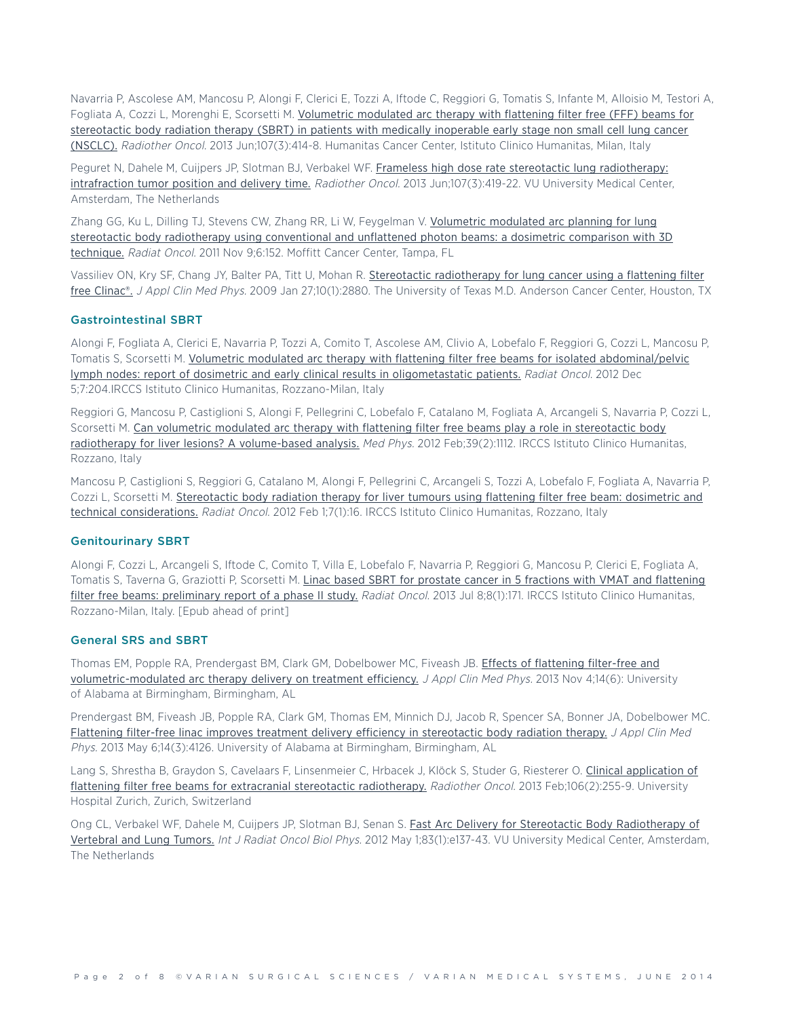Navarria P, Ascolese AM, Mancosu P, Alongi F, Clerici E, Tozzi A, Iftode C, Reggiori G, Tomatis S, Infante M, Alloisio M, Testori A, Fogliata A, Cozzi L, Morenghi E, Scorsetti M. [Volumetric](http://www.ncbi.nlm.nih.gov/pubmed/23725859) modulated arc therapy with flattening filter free (FFF) beams for [stereotactic](http://www.ncbi.nlm.nih.gov/pubmed/23725859) body radiation therapy (SBRT) in patients with medically inoperable early stage non small cell lung cancer [\(NSCLC\).](http://www.ncbi.nlm.nih.gov/pubmed/23725859) Radiother Oncol. 2013 Jun;107(3):414-8. Humanitas Cancer Center, Istituto Clinico Humanitas, Milan, Italy

Peguret N, Dahele M, Cuijpers JP, Slotman BJ, Verbakel WF. Frameless high dose rate stereotactic lung [radiotherapy:](http://www.ncbi.nlm.nih.gov/pubmed/23707150) intrafraction tumor position and delivery time. Radiother Oncol. 2013 [Jun;107\(3\):419-22.](http://www.ncbi.nlm.nih.gov/pubmed/23707150) VU University Medical Center, Amsterdam, The Netherlands

Zhang GG, Ku L, Dilling TJ, Stevens CW, Zhang RR, Li W, [Feygelman](http://www.ncbi.nlm.nih.gov/pubmed/23707150) V. [Volumetric](http://www.ncbi.nlm.nih.gov/pubmed/22070866) modulated arc planning for lung stereotactic body [radiotherapy](http://www.ncbi.nlm.nih.gov/pubmed/22070866) using conventional and unflattened photon beams: a dosimetric comparison with 3D [technique.](http://www.ncbi.nlm.nih.gov/pubmed/22070866) Radiat Oncol. 2011 Nov 9;6:152. Moffitt Cancer Center, Tampa, FL

Vassiliev ON, Kry SF, Chang JY, Balter PA, Titt U, Mohan R. Stereotactic [radiotherapy](http://www.ncbi.nlm.nih.gov/pubmed/19223837) for lung cancer using a flattening filter free [Clinac®.](http://www.ncbi.nlm.nih.gov/pubmed/19223837) J Appl Clin Med Phys. 2009 Jan 27;10(1):2880. The University of Texas M.D. Anderson Cancer Center, Houston, TX

#### **Gastrointestinal SBRT**

Alongi F, Fogliata A, Clerici E, Navarria P, Tozzi A, Comito T, Ascolese AM, Clivio A, Lobefalo F, Reggiori G, Cozzi L, Mancosu P, Tomatis S, Scorsetti M. Volumetric modulated arc therapy with flattening filter free beams for isolated [abdominal/pelvic](http://www.ncbi.nlm.nih.gov/pubmed/23216821) lymph nodes: report of dosimetric and early clinical results in [oligometastatic](http://www.ncbi.nlm.nih.gov/pubmed/23216821) patients. Radiat Oncol. 2012 Dec 5;7:204.IRCCS Istituto Clinico Humanitas, Rozzano-Milan, Italy

Reggiori G, Mancosu P, Castiglioni S, Alongi F, Pellegrini C, Lobefalo F, Catalano M, Fogliata A, Arcangeli S, Navarria P, Cozzi L, Scorsetti M. Can volumetric modulated arc therapy with flattening filter free beams play a role in [stereotactic](http://www.ncbi.nlm.nih.gov/pubmed/22320821) body radiotherapy for liver lesions? A [volume-based](http://www.ncbi.nlm.nih.gov/pubmed/22320821) analysis. Med Phys. 2012 Feb;39(2):1112. IRCCS Istituto Clinico Humanitas, Rozzano, Italy

Mancosu P, Castiglioni S, Reggiori G, Catalano M, Alongi F, Pellegrini C, Arcangeli S, Tozzi A, Lobefalo F, Fogliata A, Navarria P, Cozzi L, Scorsetti M. [Stereotactic](http://www.ncbi.nlm.nih.gov/pubmed/22296849) body radiation therapy for liver tumours using flattening filter free beam: dosimetric and technical [considerations.](http://www.ncbi.nlm.nih.gov/pubmed/22296849) Radiat Oncol. 2012 Feb 1;7(1):16. IRCCS Istituto Clinico Humanitas, Rozzano, Italy

#### **Genitourinary SBRT**

Alongi F, Cozzi L, Arcangeli S, Iftode C, Comito T, Villa E, Lobefalo F, Navarria P, Reggiori G, Mancosu P, Clerici E, Fogliata A, Tomatis S, Taverna G, Graziotti P, Scorsetti M. Linac based SBRT for prostate cancer in 5 fractions with VMAT and [flattening](http://www.ncbi.nlm.nih.gov/pubmed/23835141) filter free beams: [preliminary](http://www.ncbi.nlm.nih.gov/pubmed/23835141) report of a phase II study. Radiat Oncol. 2013 Jul 8;8(1):171. IRCCS Istituto Clinico Humanitas, Rozzano-Milan, Italy. [Epub ahead of print]

#### **General SRS and SBRT**

Thomas EM, Popple RA, Prendergast BM, Clark GM, Dobelbower MC, Fiveash JB. Effects of [flattening](http://www.ncbi.nlm.nih.gov/pubmed/24257275) filter-free and [volumetric-modulated](http://www.ncbi.nlm.nih.gov/pubmed/24257275) arc therapy delivery on treatment efficiency. J Appl Clin Med Phys. 2013 Nov 4;14(6): University of Alabama at Birmingham, Birmingham, AL

Prendergast BM, Fiveash JB, Popple RA, Clark GM, Thomas EM, Minnich DJ, Jacob R, Spencer SA, Bonner JA, Dobelbower MC. Flattening filter-free linac improves treatment delivery efficiency in [stereotactic](http://www.ncbi.nlm.nih.gov/pubmed/23652246) body radiation therapy. J Appl Clin Med Phys. 2013 May 6;14(3):4126. University of Alabama at Birmingham, Birmingham, AL

Lang S, Shrestha B, Graydon S, Cavelaars F, Linsenmeier C, Hrbacek J, Klöck S, Studer G, Riesterer O. Clinical [application](http://www.ncbi.nlm.nih.gov/pubmed/23395063) of flattening filter free beams for extracranial stereotactic [radiotherapy.](http://www.ncbi.nlm.nih.gov/pubmed/23395063) Radiother Oncol. 2013 Feb;106(2):255-9. University Hospital Zurich, Zurich, Switzerland

Ong CL, Verbakel WF, Dahele M, Cuijpers JP, Slotman BJ, Senan S. Fast Arc Delivery for Stereotactic Body [Radiotherapy](http://www.ncbi.nlm.nih.gov/pubmed/22365628) of [Vertebral](http://www.ncbi.nlm.nih.gov/pubmed/22365628) and Lung Tumors. Int J Radiat Oncol Biol Phys. 2012 May 1;83(1):e137-43. VU University Medical Center, Amsterdam, The Netherlands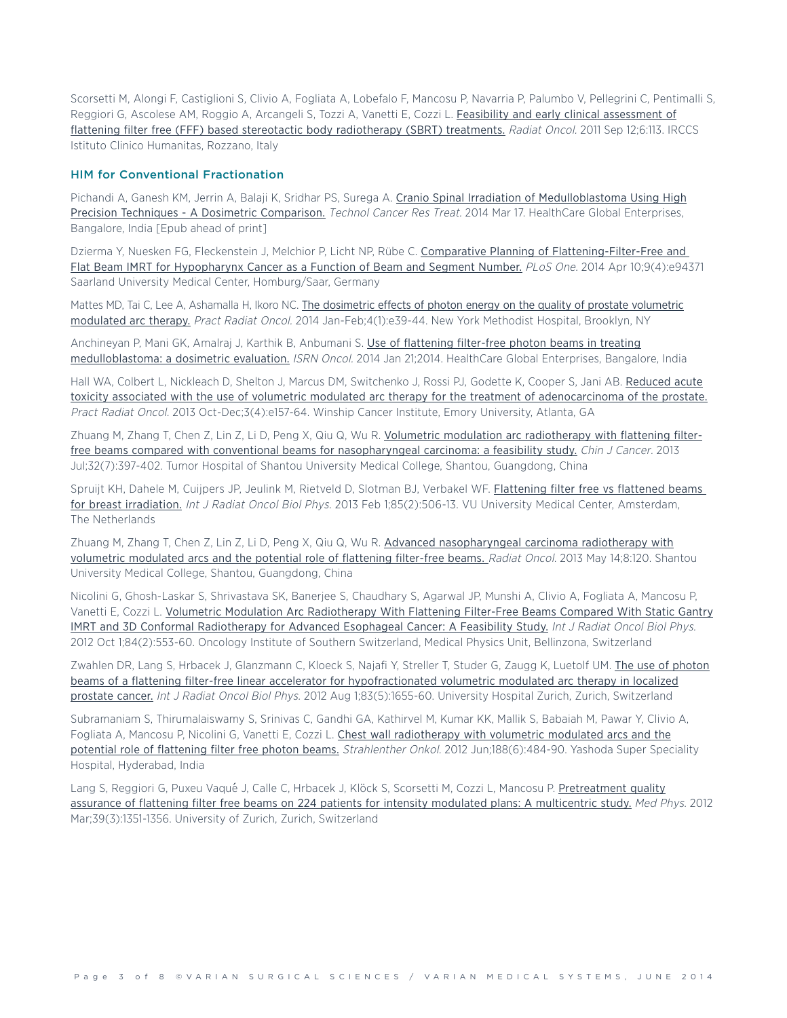Scorsetti M, Alongi F, Castiglioni S, Clivio A, Fogliata A, Lobefalo F, Mancosu P, Navarria P, Palumbo V, Pellegrini C, Pentimalli S, Reggiori G, Ascolese AM, Roggio A, Arcangeli S, Tozzi A, Vanetti E, Cozzi L. Feasibility and early clinical [assessment](http://www.ncbi.nlm.nih.gov/pubmed/21910868) of flattening filter free (FFF) based stereotactic body [radiotherapy](http://www.ncbi.nlm.nih.gov/pubmed/21910868) (SBRT) treatments. Radiat Oncol. 2011 Sep 12;6:113. IRCCS Istituto Clinico Humanitas, Rozzano, Italy

#### **HIM for Conventional Fractionation**

Pichandi A, Ganesh KM, Jerrin A, Balaji K, Sridhar PS, Surega A. Cranio Spinal Irradiation of [Medulloblastoma](http://www.ncbi.nlm.nih.gov/pubmed/24645747) Using High Precision Techniques - A Dosimetric [Comparison.](http://www.ncbi.nlm.nih.gov/pubmed/24645747) Technol Cancer Res Treat. 2014 Mar 17. HealthCare Global Enterprises, Bangalore, India [Epub ahead of print]

Dzierma Y, Nuesken FG, Fleckenstein J, Melchior P, Licht NP, Rübe C. Comparative Planning of [Flattening-Filter-Free](http://www.ncbi.nlm.nih.gov/pubmed/24722621) and Flat Beam IMRT for [Hypopharynx](http://www.ncbi.nlm.nih.gov/pubmed/24722621) Cancer as a Function of Beam and Segment Number. PLoS One. 2014 Apr 10;9(4):e94371 Saarland University Medical Center, Homburg/Saar, Germany

Mattes MD, Tai C, Lee A, Ashamalla H, Ikoro NC. The dosimetric effects of photon energy on the quality of prostate [volumetric](http://www.ncbi.nlm.nih.gov/pubmed/24621430) [modulated](http://www.ncbi.nlm.nih.gov/pubmed/24621430) arc therapy. Pract Radiat Oncol. 2014 Jan-Feb;4(1):e39-44. New York Methodist Hospital, Brooklyn, NY

Anchinevan P. Mani GK, Amalrai J, Karthik B, Anbumani S. Use of [flattening](http://www.ncbi.nlm.nih.gov/pubmed/24579052) filter-free photon beams in treating [medulloblastoma:](http://www.ncbi.nlm.nih.gov/pubmed/24579052) a dosimetric evaluation. ISRN Oncol. 2014 Jan 21;2014. HealthCare Global Enterprises, Bangalore, India

Hall WA, Colbert L, Nickleach D, Shelton J, Marcus DM, Switchenko J, Rossi PJ, Godette K, Cooper S, Jani AB. [Reduced](http://www.ncbi.nlm.nih.gov/pubmed/24674413) acute toxicity associated with the use of volumetric modulated arc therapy for the treatment of [adenocarcinoma](http://www.ncbi.nlm.nih.gov/pubmed/24674413) of the prostate. Pract Radiat Oncol. 2013 Oct-Dec;3(4):e157-64. Winship Cancer Institute, Emory University, Atlanta, GA

Zhuang M, Zhang T, Chen Z, Lin Z, Li D, Peng X, Qiu Q, Wu R. Volumetric modulation arc [radiotherapy](http://www.ncbi.nlm.nih.gov/pubmed/23237224) with flattening filterfree beams compared with conventional beams for [nasopharyngeal](http://www.ncbi.nlm.nih.gov/pubmed/23237224) carcinoma: a feasibility study. Chin J Cancer. 2013 Jul;32(7):397-402. Tumor Hospital of Shantou University Medical College, Shantou, Guangdong, China

Spruijt KH, Dahele M, Cuijpers JP, Jeulink M, Rietveld D, Slotman BJ, Verbakel WF. [Flattening](http://www.ncbi.nlm.nih.gov/pubmed/22672750) filter free vs flattened beams for breast [irradiation.](http://www.ncbi.nlm.nih.gov/pubmed/22672750) Int J Radiat Oncol Biol Phys. 2013 Feb 1;85(2):506-13. VU University Medical Center, Amsterdam, The Netherlands

Zhuang M, Zhang T, Chen Z, Lin Z, Li D, Peng X, Qiu Q, Wu R. Advanced [nasopharyngeal](http://www.ncbi.nlm.nih.gov/pubmed/23672519) carcinoma radiotherapy with volumetric [modulated](http://www.ncbi.nlm.nih.gov/pubmed/23672519) arcs and the potential role of flattening filter-free beams. Radiat Oncol. 2013 May 14;8:120. Shantou University Medical College, Shantou, Guangdong, China

Nicolini G, Ghosh-Laskar S, Shrivastava SK, Banerjee S, Chaudhary S, Agarwal JP, Munshi A, Clivio A, Fogliata A, Mancosu P, Vanetti E, Cozzi L. Volumetric Modulation Arc [Radiotherapy](http://www.ncbi.nlm.nih.gov/pubmed/22386376) With Flattening Filter-Free Beams Compared With Static Gantry IMRT and 3D Conformal [Radiotherapy](http://www.ncbi.nlm.nih.gov/pubmed/22386376) for Advanced Esophageal Cancer: A Feasibility Study. Int J Radiat Oncol Biol Phys. 2012 Oct 1;84(2):553-60. Oncology Institute of Southern Switzerland, Medical Physics Unit, Bellinzona, Switzerland

Zwahlen DR, Lang S, Hrbacek J, Glanzmann C, Kloeck S, Najafi Y, Streller T, Studer G, Zaugg K, Luetolf UM. The use of [photon](http://www.ncbi.nlm.nih.gov/pubmed/22572080) beams of a flattening filter-free linear accelerator for [hypofractionated](http://www.ncbi.nlm.nih.gov/pubmed/22572080) volumetric modulated arc therapy in localized [prostate](http://www.ncbi.nlm.nih.gov/pubmed/22572080) cancer. Int J Radiat Oncol Biol Phys. 2012 Aug 1:83(5):1655-60. University Hospital Zurich, Zurich, Switzerland

Subramaniam S, Thirumalaiswamy S, Srinivas C, Gandhi GA, Kathirvel M, Kumar KK, Mallik S, Babaiah M, Pawar Y, Clivio A, Fogliata A, Mancosu P, Nicolini G, Vanetti E, Cozzi L. Chest wall [radiotherapy](http://www.ncbi.nlm.nih.gov/pubmed/22402870) with volumetric modulated arcs and the potential role of [flattening](http://www.ncbi.nlm.nih.gov/pubmed/22402870) filter free photon beams. Strahlenther Onkol. 2012 Jun;188(6):484-90. Yashoda Super Speciality Hospital, Hyderabad, India

Lang S, Reggiori G, Puxeu Vaqué J, Calle C, Hrbacek J, Klöck S, Scorsetti M, Cozzi L, Mancosu P. [Pretreatment](http://www.ncbi.nlm.nih.gov/pubmed/22380368) quality assurance of flattening filter free beams on 224 patients for intensity modulated plans: A [multicentric](http://www.ncbi.nlm.nih.gov/pubmed/22380368) study. Med Phys. 2012 Mar;39(3):1351-1356. University of Zurich, Zurich, Switzerland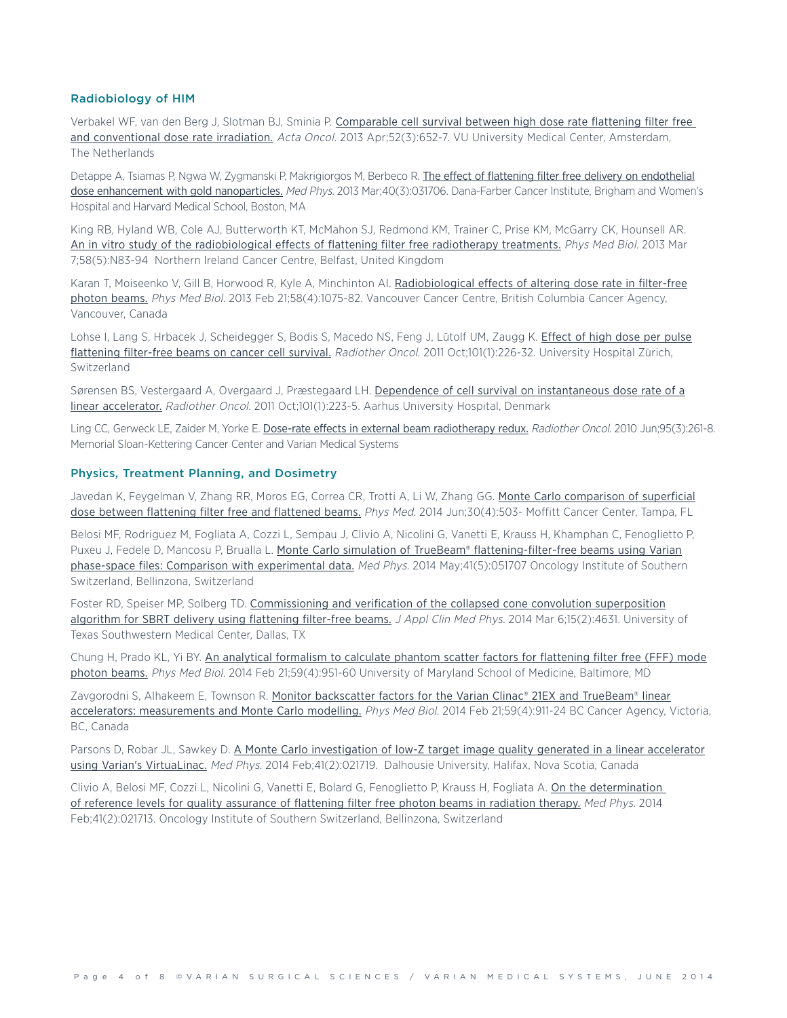#### **Radiobiology of HIM**

Verbakel WF, van den Berg J, Slotman BJ, Sminia P. [Comparable](http://www.ncbi.nlm.nih.gov/pubmed/23126524) cell survival between high dose rate flattening filter free and [conventional](http://www.ncbi.nlm.nih.gov/pubmed/23126524) dose rate irradiation. Acta Oncol. 2013 Apr;52(3):652-7. VU University Medical Center, Amsterdam, The Netherlands

Detappe A, Tsiamas P, Ngwa W, Zygmanski P, Makrigiorgos M, Berbeco R. The effect of flattening filter free delivery on [endothelial](http://www.ncbi.nlm.nih.gov/pubmed/23464301) dose enhancement with gold [nanoparticles.](http://www.ncbi.nlm.nih.gov/pubmed/23464301) Med Phys. 2013 Mar;40(3):031706. Dana-Farber Cancer Institute, Brigham and Women's Hospital and Harvard Medical School, Boston, MA

King RB, Hyland WB, Cole AJ, Butterworth KT, McMahon SJ, Redmond KM, Trainer C, Prise KM, McGarry CK, Hounsell AR. An in vitro study of the [radiobiological](http://www.ncbi.nlm.nih.gov/pubmed/23399781) effects of flattening filter free radiotherapy treatments. Phys Med Biol. 2013 Mar 7;58(5):N83-94 Northern Ireland Cancer Centre, Belfast, United Kingdom

Karan T, Moiseenko V, Gill B, Horwood R, Kyle A, Minchinton AI. [Radiobiological](http://www.ncbi.nlm.nih.gov/pubmed/23363688) effects of altering dose rate in filter-free [photon](http://www.ncbi.nlm.nih.gov/pubmed/23363688) beams. Phys Med Biol. 2013 Feb 21;58(4):1075-82. Vancouver Cancer Centre, British Columbia Cancer Agency, Vancouver, Canada

Lohse I, Lang S, Hrbacek J, Scheidegger S, Bodis S, Macedo NS, Feng J, Lütolf UM, Zaugg K. [Effect](http://www.ncbi.nlm.nih.gov/pubmed/21733592) of high dose per pulse [flattening](http://www.ncbi.nlm.nih.gov/pubmed/21733592) filter-free beams on cancer cell survival. Radiother Oncol. 2011 Oct;101(1):226-32. University Hospital Zürich, **Switzerland** 

Sørensen BS, Vestergaard A, Overgaard J, Præstegaard LH. Dependence of cell survival on [instantaneous](http://www.ncbi.nlm.nih.gov/pubmed/21737168) dose rate of a linear [accelerator.](http://www.ncbi.nlm.nih.gov/pubmed/21737168) Radiother Oncol. 2011 Oct;101(1):223-5. Aarhus University Hospital, Denmark

Ling CC, Gerweck LE, Zaider M, Yorke E. Dose-rate effects in external beam [radiotherapy](http://www.ncbi.nlm.nih.gov/pubmed/20363041) redux. Radiother Oncol. 2010 Jun;95(3):261-8. Memorial Sloan-Kettering Cancer Center and Varian Medical Systems

#### **Physics, Treatment Planning, and Dosimetry**

Javedan K, Feygelman V, Zhang RR, Moros EG, Correa CR, Trotti A, Li W, Zhang GG. Monte Carlo [comparison](http://www.ncbi.nlm.nih.gov/pubmed/24662096) of superficial dose between [flattening](http://www.ncbi.nlm.nih.gov/pubmed/24662096) filter free and flattened beams. Phys Med. 2014 Jun:30(4):503- Moffitt Cancer Center, Tampa, FL

Belosi MF, Rodriguez M, Fogliata A, Cozzi L, Sempau J, Clivio A, Nicolini G, Vanetti E, Krauss H, Khamphan C, Fenoglietto P, Puxeu J, Fedele D, Mancosu P, Brualla L. Monte Carlo simulation of TrueBeam® [flattening-filter-free](http://www.ncbi.nlm.nih.gov/pubmed/24784373) beams using Varian phase-space files: Comparison with [experimental](http://www.ncbi.nlm.nih.gov/pubmed/24784373) data. Med Phys. 2014 May;41(5):051707 Oncology Institute of Southern Switzerland, Bellinzona, Switzerland

Foster RD, Speiser MP, Solberg TD. [Commissioning](http://www.ncbi.nlm.nih.gov/pubmed/24710452) and verification of the collapsed cone convolution superposition [algorithm](http://www.ncbi.nlm.nih.gov/pubmed/24710452) for SBRT delivery using flattening filter-free beams. J Appl Clin Med Phys. 2014 Mar 6;15(2):4631. University of Texas Southwestern Medical Center, Dallas, TX

Chung H, Prado KL, Yi BY. An analytical [formalism](http://www.ncbi.nlm.nih.gov/pubmed/24503449) to calculate phantom scatter factors for flattening filter free (FFF) mode [photon](http://www.ncbi.nlm.nih.gov/pubmed/24503449) beams. Phys Med Biol. 2014 Feb 21;59(4):951-60 University of Maryland School of Medicine, Baltimore, MD

Zavgorodni S, Alhakeem E, Townson R. Monitor [backscatter](http://www.ncbi.nlm.nih.gov/pubmed/24487824) factors for the Varian Clinac® 21EX and TrueBeam® linear accelerators: [measurements](http://www.ncbi.nlm.nih.gov/pubmed/24487824) and Monte Carlo modelling. Phys Med Biol. 2014 Feb 21;59(4):911-24 BC Cancer Agency, Victoria, BC, Canada

Parsons D, Robar JL, Sawkey D. A Monte Carlo [investigation](http://www.ncbi.nlm.nih.gov/pubmed/24506610) of low-Z target image quality generated in a linear accelerator using Varian's [VirtuaLinac.](http://www.ncbi.nlm.nih.gov/pubmed/24506610) Med Phys. 2014 Feb;41(2):021719. Dalhousie University, Halifax, Nova Scotia, Canada

Clivio A, Belosi MF, Cozzi L, Nicolini G, Vanetti E, Bolard G, Fenoglietto P, Krauss H, Fogliata A. On the [determination](http://www.ncbi.nlm.nih.gov/pubmed/24506604) of reference levels for quality [assurance](http://www.ncbi.nlm.nih.gov/pubmed/24506604) of flattening filter free photon beams in radiation therapy. Med Phys. 2014 Feb;41(2):021713. Oncology Institute of Southern Switzerland, Bellinzona, Switzerland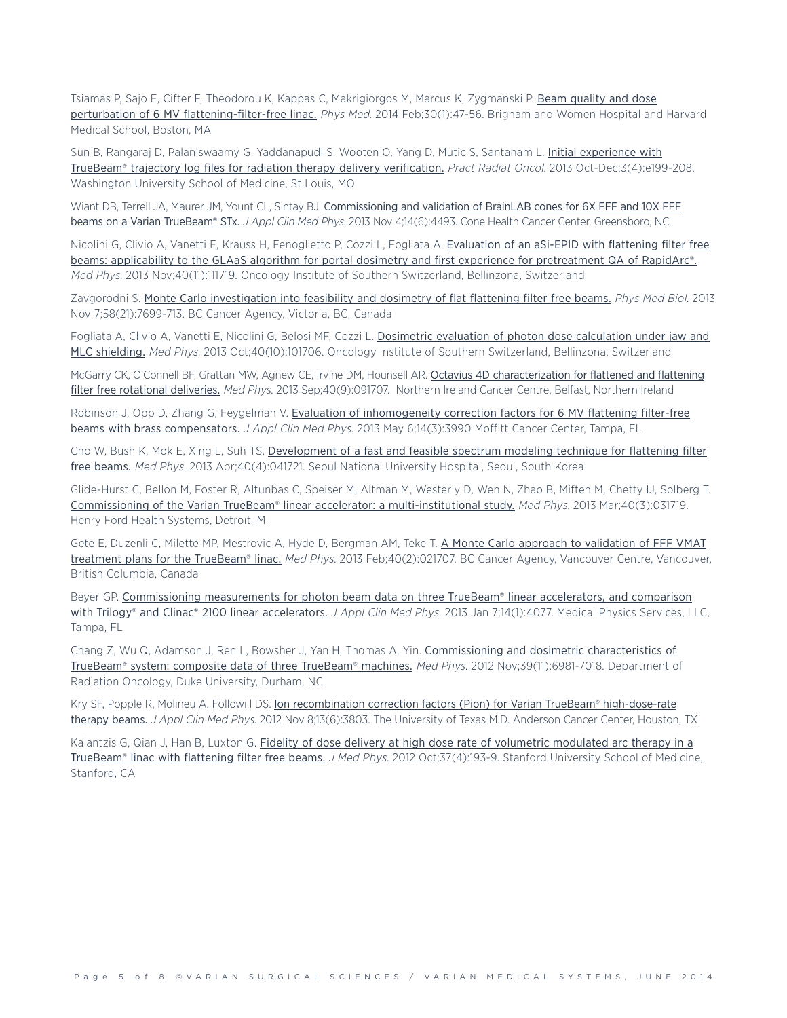Tsiamas P, Sajo E, Cifter F, Theodorou K, Kappas C, Makrigiorgos M, Marcus K, Zygmanski P. Beam [quality](http://www.ncbi.nlm.nih.gov/pubmed/23517668) and dose perturbation of 6 MV [flattening-filter-free](http://www.ncbi.nlm.nih.gov/pubmed/23517668) linac. Phys Med. 2014 Feb;30(1):47-56. Brigham and Women Hospital and Harvard Medical School, Boston, MA

Sun B, Rangaraj D, Palaniswaamy G, Yaddanapudi S, Wooten O, Yang D, Mutic S, Santanam L. Initial [experience](http://www.ncbi.nlm.nih.gov/pubmed/24674419) with TrueBeam® trajectory log files for radiation therapy delivery [verification.](http://www.ncbi.nlm.nih.gov/pubmed/24674419) Pract Radiat Oncol. 2013 Oct-Dec;3(4):e199-208. Washington University School of Medicine, St Louis, MO

Wiant DB, Terrell JA, Maurer JM, Yount CL, Sintay BJ. [Commissioning](http://www.ncbi.nlm.nih.gov/pubmed/24257290) and validation of BrainLAB cones for 6X FFF and 10X FFF beams on a Varian [TrueBeam®](http://www.ncbi.nlm.nih.gov/pubmed/24257290) STx. J Appl Clin Med Phys. 2013 Nov 4:14(6):4493. Cone Health Cancer Center, Greensboro, NC

Nicolini G, Clivio A, Vanetti E, Krauss H, Fenoglietto P, Cozzi L, Fogliata A. [Evaluation](http://www.ncbi.nlm.nih.gov/pubmed/24320427) of an aSi-EPID with flattening filter free beams: applicability to the GLAaS algorithm for portal dosimetry and first experience for [pretreatment](http://www.ncbi.nlm.nih.gov/pubmed/24320427) QA of RapidArc®. Med Phys. 2013 Nov;40(11):111719. Oncology Institute of Southern Switzerland, Bellinzona, Switzerland

Zavgorodni S. Monte Carlo [investigation](http://www.ncbi.nlm.nih.gov/pubmed/24140752) into feasibility and dosimetry of flat flattening filter free beams. Phys Med Biol. 2013 Nov 7;58(21):7699-713. BC Cancer Agency, Victoria, BC, Canada

Fogliata A, Clivio A, Vanetti E, Nicolini G, Belosi MF, Cozzi L. Dosimetric evaluation of photon dose [calculation](http://www.ncbi.nlm.nih.gov/pubmed/24089896) under jaw and MLC [shielding.](http://www.ncbi.nlm.nih.gov/pubmed/24089896) Med Phys. 2013 Oct;40(10):101706. Oncology Institute of Southern Switzerland, Bellinzona, Switzerland

McGarry CK, O'Connell BF, Grattan MW, Agnew CE, Irvine DM, Hounsell AR. Octavius 4D [characterization](http://www.ncbi.nlm.nih.gov/pubmed/24007140) for flattened and flattening filter free rotational [deliveries.](http://www.ncbi.nlm.nih.gov/pubmed/24007140) Med Phys. 2013 Sep;40(9):091707. Northern Ireland Cancer Centre, Belfast, Northern Ireland

Robinson J, Opp D, Zhang G, Feygelman V. Evaluation of [inhomogeneity](http://www.ncbi.nlm.nih.gov/pubmed/23652238) correction factors for 6 MV flattening filter-free beams with brass [compensators.](http://www.ncbi.nlm.nih.gov/pubmed/23652238) J Appl Clin Med Phys. 2013 May 6;14(3):3990 Moffitt Cancer Center, Tampa, FL

Cho W, Bush K, Mok E, Xing L, Suh TS. [Development](http://www.ncbi.nlm.nih.gov/pubmed/23556891) of a fast and feasible spectrum modeling technique for flattening filter free [beams.](http://www.ncbi.nlm.nih.gov/pubmed/23556891) Med Phys. 2013 Apr;40(4):041721. Seoul National University Hospital, Seoul, South Korea

Glide-Hurst C, Bellon M, Foster R, Altunbas C, Speiser M, Altman M, Westerly D, Wen N, Zhao B, Miften M, Chetty IJ, Solberg T. Commissioning of the Varian TrueBeam® linear accelerator: a [multi-institutional](http://www.ncbi.nlm.nih.gov/pubmed/23464314) study. Med Phys. 2013 Mar;40(3):031719. Henry Ford Health Systems, Detroit, MI

Gete E, Duzenli C, Milette MP, Mestrovic A, Hyde D, Bergman AM, Teke T. A Monte Carlo approach to [validation](http://www.ncbi.nlm.nih.gov/pubmed/23387730) of FFF VMAT treatment plans for the [TrueBeam®](http://www.ncbi.nlm.nih.gov/pubmed/23387730) linac. Med Phys. 2013 Feb;40(2):021707. BC Cancer Agency, Vancouver Centre, Vancouver, British Columbia, Canada

Beyer GP. [Commissioning](http://www.ncbi.nlm.nih.gov/pubmed/23318395) measurements for photon beam data on three TrueBeam® linear accelerators, and comparison with Trilogy® and Clinac® 2100 linear [accelerators.](http://www.ncbi.nlm.nih.gov/pubmed/23318395) *J Appl Clin Med Phys.* 2013 Jan 7;14(1):4077. Medical Physics Services, LLC, Tampa, FL

Chang Z, Wu Q, Adamson J, Ren L, Bowsher J, Yan H, Thomas A, Yin. [Commissioning](http://www.ncbi.nlm.nih.gov/pubmed/23127092) and dosimetric characteristics of [TrueBeam®](http://www.ncbi.nlm.nih.gov/pubmed/23127092) system: composite data of three TrueBeam® machines. Med Phys. 2012 Nov;39(11):6981-7018. Department of Radiation Oncology, Duke University, Durham, NC

Kry SF, Popple R, Molineu A, Followill DS. Ion recombination correction factors (Pion) for Varian TrueBeam® [high-dose-rate](http://www.ncbi.nlm.nih.gov/pubmed/23149774) [therapy](http://www.ncbi.nlm.nih.gov/pubmed/23149774) beams. J Appl Clin Med Phys. 2012 Nov 8;13(6):3803. The University of Texas M.D. Anderson Cancer Center, Houston, TX

Kalantzis G, Qian J, Han B, Luxton G. Fidelity of dose delivery at high dose rate of volumetric [modulated](http://www.ncbi.nlm.nih.gov/pubmed/23293450) arc therapy in a [TrueBeam®](http://www.ncbi.nlm.nih.gov/pubmed/23293450) linac with flattening filter free beams. J Med Phys. 2012 Oct;37(4):193-9. Stanford University School of Medicine, Stanford, CA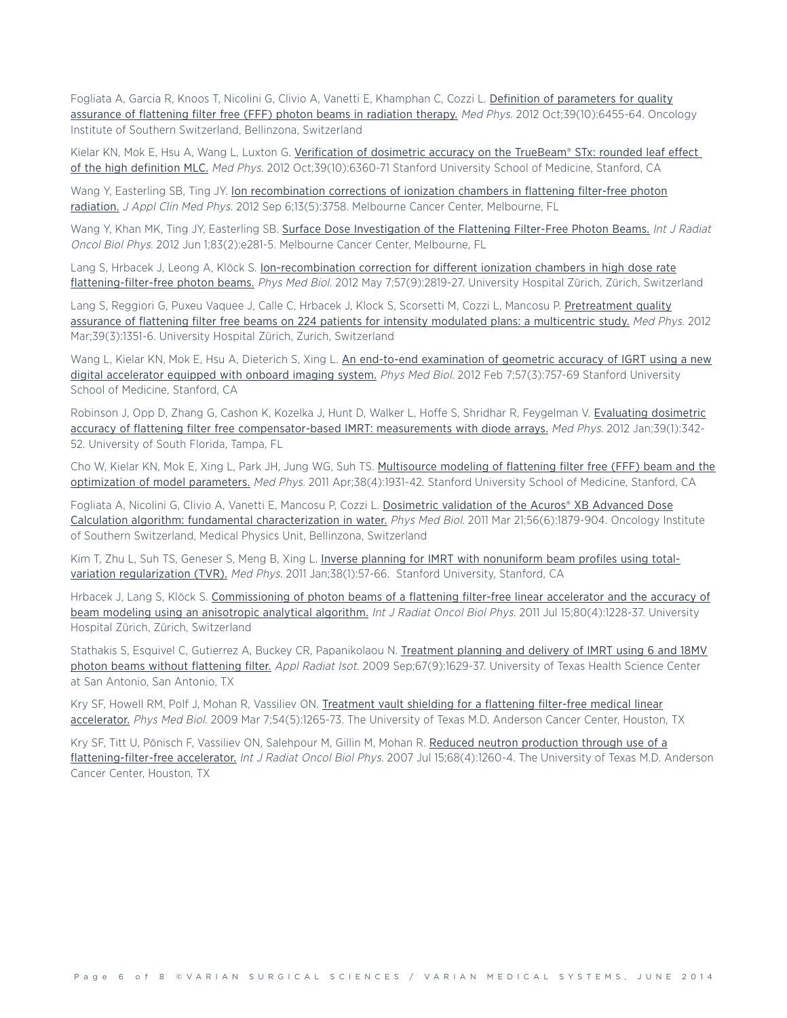Fogliata A, Garcia R, Knoos T, Nicolini G, Clivio A, Vanetti E, Khamphan C, Cozzi L. Definition of [parameters](http://www.ncbi.nlm.nih.gov/pubmed/23039680) for quality [assurance](http://www.ncbi.nlm.nih.gov/pubmed/23039680) of flattening filter free (FFF) photon beams in radiation therapy. Med Phys. 2012 Oct;39(10):6455-64. Oncology Institute of Southern Switzerland, Bellinzona, Switzerland

Kielar KN, Mok E, Hsu A, Wang L, Luxton G. [Verification](http://www.ncbi.nlm.nih.gov/pubmed/23039672) of dosimetric accuracy on the TrueBeam® STx: rounded leaf effect of the high [definition](http://www.ncbi.nlm.nih.gov/pubmed/23039672) MLC. Med Phys. 2012 Oct;39(10):6360-71 Stanford University School of Medicine, Stanford, CA

Wang Y, Easterling SB, Ting JY. Ion [recombination](http://www.ncbi.nlm.nih.gov/pubmed/22955642) corrections of ionization chambers in flattening filter-free photon [radiation.](http://www.ncbi.nlm.nih.gov/pubmed/22955642) J Appl Clin Med Phys. 2012 Sep 6;13(5):3758. Melbourne Cancer Center, Melbourne, FL

Wang Y, Khan MK, Ting JY, Easterling SB. Surface Dose [Investigation](http://www.ncbi.nlm.nih.gov/pubmed/22414287) of the Flattening Filter-Free Photon Beams. Int J Radiat Oncol Biol Phys. 2012 Jun 1;83(2):e281-5. Melbourne Cancer Center, Melbourne, FL

Lang S, Hrbacek J, Leong A, Klöck S. [Ion-recombination](http://www.ncbi.nlm.nih.gov/pubmed/22510780) correction for different ionization chambers in high dose rate [flattening-filter-free](http://www.ncbi.nlm.nih.gov/pubmed/22510780) photon beams. Phys Med Biol. 2012 May 7;57(9):2819-27. University Hospital Zürich, Zürich, Switzerland

Lang S, Reggiori G, Puxeu Vaquee J, Calle C, Hrbacek J, Klock S, Scorsetti M, Cozzi L, Mancosu P. [Pretreatment](http://www.ncbi.nlm.nih.gov/pubmed/22380368) quality assurance of flattening filter free beams on 224 patients for intensity modulated plans: a [multicentric](http://www.ncbi.nlm.nih.gov/pubmed/22380368) study. Med Phys. 2012 Mar;39(3):1351-6. University Hospital Zürich, Zurich, Switzerland

Wang L, Kielar KN, Mok E, Hsu A, Dieterich S, Xing L. An end-to-end [examination](http://www.ncbi.nlm.nih.gov/pubmed/22252134) of geometric accuracy of IGRT using a new digital [accelerator](http://www.ncbi.nlm.nih.gov/pubmed/22252134) equipped with onboard imaging system. Phys Med Biol. 2012 Feb 7;57(3):757-69 Stanford University School of Medicine, Stanford, CA

Robinson J, Opp D, Zhang G, Cashon K, Kozelka J, Hunt D, Walker L, Hoffe S, Shridhar R, Feygelman V. Evaluating [dosimetric](http://www.ncbi.nlm.nih.gov/pubmed/22225304) accuracy of flattening filter free [compensator-based](http://www.ncbi.nlm.nih.gov/pubmed/22225304) IMRT: measurements with diode arrays. Med Phys. 2012 Jan;39(1):342-52. University of South Florida, Tampa, FL

Cho W, Kielar KN, Mok E, Xing L, Park JH, Jung WG, Suh TS. [Multisource](http://www.ncbi.nlm.nih.gov/pubmed/21626926) modeling of flattening filter free (FFF) beam and the [optimization](http://www.ncbi.nlm.nih.gov/pubmed/21626926) of model parameters. Med Phys. 2011 Apr;38(4):1931-42. Stanford University School of Medicine, Stanford, CA

Fogliata A, Nicolini G, Clivio A, Vanetti E, Mancosu P, Cozzi L. [Dosimetric](http://www.ncbi.nlm.nih.gov/pubmed/21364257) validation of the Acuros® XB Advanced Dose Calculation algorithm: fundamental [characterization](http://www.ncbi.nlm.nih.gov/pubmed/21364257) in water. Phys Med Biol. 2011 Mar 21;56(6):1879-904. Oncology Institute of Southern Switzerland, Medical Physics Unit, Bellinzona, Switzerland

Kim T, Zhu L, Suh TS, Geneser S, Meng B, Xing L. Inverse planning for IMRT with [nonuniform](http://www.ncbi.nlm.nih.gov/pubmed/21361175) beam profiles using totalvariation [regularization](http://www.ncbi.nlm.nih.gov/pubmed/21361175) (TVR). Med Phys. 2011 Jan;38(1):57-66. Stanford University, Stanford, CA

Hrbacek J, Lang S, Klöck S. [Commissioning](http://www.ncbi.nlm.nih.gov/pubmed/21129855) of photon beams of a flattening filter-free linear accelerator and the accuracy of beam modeling using an [anisotropic](http://www.ncbi.nlm.nih.gov/pubmed/21129855) analytical algorithm. Int J Radiat Oncol Biol Phys. 2011 Jul 15;80(4):1228-37. University Hospital Zürich, Zürich, Switzerland

Stathakis S, Esquivel C, Gutierrez A, Buckey CR, Papanikolaou N. [Treatment](http://www.ncbi.nlm.nih.gov/pubmed/19369083) planning and delivery of IMRT using 6 and 18MV photon beams without [flattening](http://www.ncbi.nlm.nih.gov/pubmed/19369083) filter. Appl Radiat Isot. 2009 Sep;67(9):1629-37. University of Texas Health Science Center at San Antonio, San Antonio, TX

Kry SF, Howell RM, Polf J, Mohan R, Vassiliev ON. [Treatment](http://www.ncbi.nlm.nih.gov/pubmed/19190359) vault shielding for a flattening filter-free medical linear [accelerator.](http://www.ncbi.nlm.nih.gov/pubmed/19190359) Phys Med Biol. 2009 Mar 7;54(5):1265-73. The University of Texas M.D. Anderson Cancer Center, Houston, TX

Kry SF, Titt U, Pönisch F, Vassiliev ON, Salehpour M, Gillin M, Mohan R. Reduced neutron [production](http://www.ncbi.nlm.nih.gov/pubmed/17637397) through use of a [flattening-filter-free](http://www.ncbi.nlm.nih.gov/pubmed/17637397) accelerator. Int J Radiat Oncol Biol Phys. 2007 Jul 15;68(4):1260-4. The University of Texas M.D. Anderson Cancer Center, Houston, TX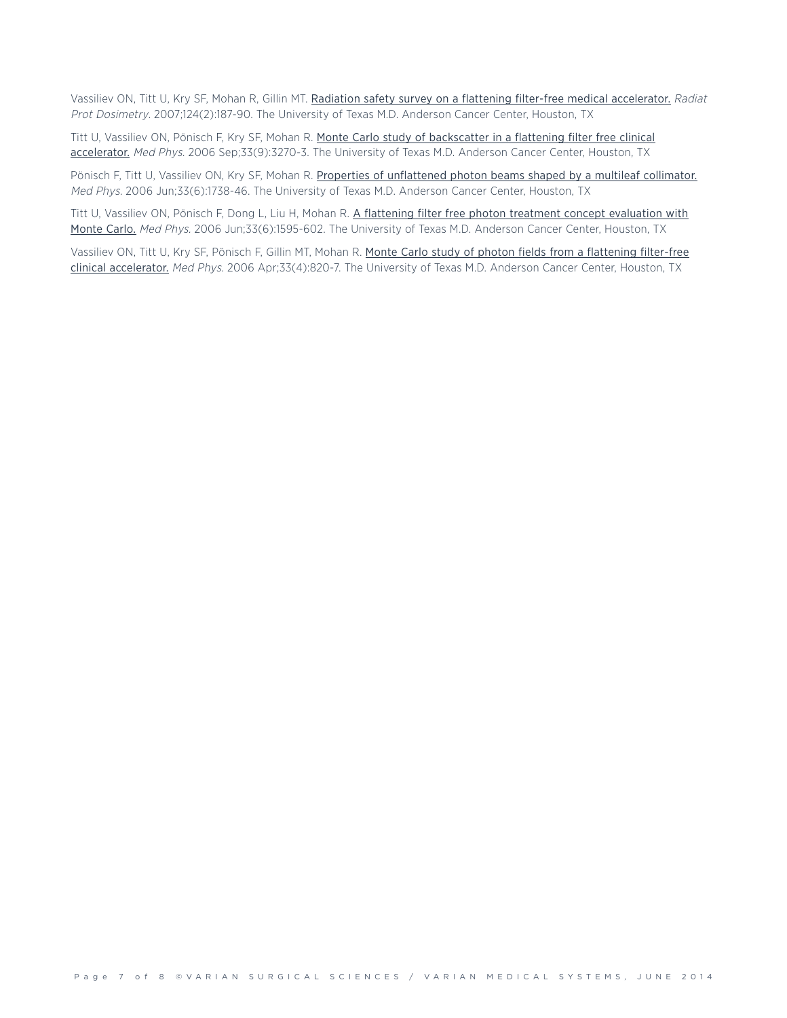Vassiliev ON, Titt U, Kry SF, Mohan R, Gillin MT. Radiation safety survey on a flattening filter-free medical [accelerator.](http://www.ncbi.nlm.nih.gov/pubmed/17681966) Radiat Prot Dosimetry. 2007;124(2):187-90. The University of Texas M.D. Anderson Cancer Center, Houston, TX

Titt U, Vassiliev ON, Pönisch F, Kry SF, Mohan R. Monte Carlo study of [backscatter](http://www.ncbi.nlm.nih.gov/pubmed/17022221) in a flattening filter free clinical [accelerator.](http://www.ncbi.nlm.nih.gov/pubmed/17022221) Med Phys. 2006 Sep;33(9):3270-3. The University of Texas M.D. Anderson Cancer Center, Houston, TX

Pönisch F, Titt U, Vassiliev ON, Kry SF, Mohan R. Properties of [unflattened](http://www.ncbi.nlm.nih.gov/pubmed/16872081) photon beams shaped by a multileaf collimator. Med Phys. 2006 Jun;33(6):1738-46. The University of Texas M.D. Anderson Cancer Center, Houston, TX

Titt U, Vassiliev ON, Pönisch F, Dong L, Liu H, Mohan R. A flattening filter free photon treatment concept [evaluation](http://www.ncbi.nlm.nih.gov/pubmed/16872067) with [Monte](http://www.ncbi.nlm.nih.gov/pubmed/16872067) Carlo. Med Phys. 2006 Jun;33(6):1595-602. The University of Texas M.D. Anderson Cancer Center, Houston, TX

Vassiliev ON, Titt U, Kry SF, Pönisch F, Gillin MT, Mohan R. Monte Carlo study of photon fields from a [flattening](http://www.ncbi.nlm.nih.gov/pubmed/16696457) filter-free clinical [accelerator.](http://www.ncbi.nlm.nih.gov/pubmed/16696457) Med Phys. 2006 Apr;33(4):820-7. The University of Texas M.D. Anderson Cancer Center, Houston, TX